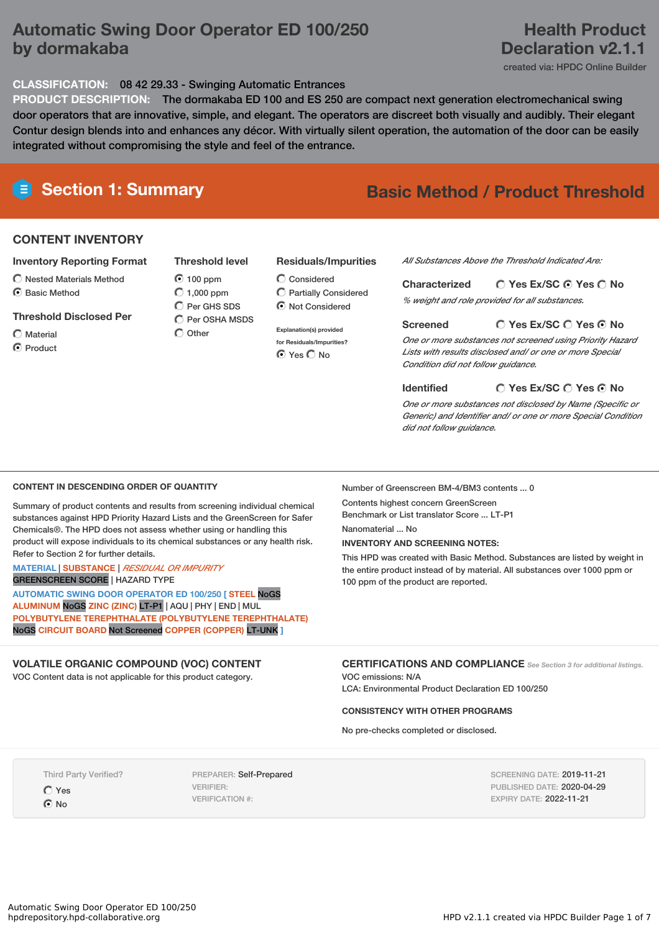# **Automatic Swing Door Operator ED 100/250 by dormakaba**

## **Health Product Declaration v2.1.1**

created via: HPDC Online Builder

### **CLASSIFICATION:** 08 42 29.33 - Swinging Automatic Entrances

**PRODUCT DESCRIPTION:** The dormakaba ED 100 and ES 250 are compact next generation electromechanical swing door operators that are innovative, simple, and elegant. The operators are discreet both visually and audibly. Their elegant Contur design blends into and enhances any décor. With virtually silent operation, the automation of the door can be easily integrated without compromising the style and feel of the entrance.

### **CONTENT INVENTORY**

#### **Inventory Reporting Format**

- $\bigcirc$  Nested Materials Method
- C Basic Method

#### **Threshold Disclosed Per**

 $\bigcap$  Material

C Product

**Threshold level** 100 ppm  $O$  1.000 ppm C Per GHS SDS

 $\overline{O}$  Per OSHA MSDS  $\bigcirc$  Other

#### **Residuals/Impurities**

 $\bigcirc$  Considered Partially Considered  $\odot$  Not Considered

**Explanation(s) provided for Residuals/Impurities?** ⊙ Yes O No

*All Substances Above the Threshold Indicated Are:*

**Yes Ex/SC Yes No Characterized** *% weight and role provided for all substances.*

#### **Screened**

*One or more substances not screened using Priority Hazard Lists with results disclosed and/ or one or more Special Condition did not follow guidance.*

**Identified**

**Yes Ex/SC Yes No**

**Yes Ex/SC Yes No**

*One or more substances not disclosed by Name (Specific or Generic) and Identifier and/ or one or more Special Condition did not follow guidance.*

#### **CONTENT IN DESCENDING ORDER OF QUANTITY**

Summary of product contents and results from screening individual chemical substances against HPD Priority Hazard Lists and the GreenScreen for Safer Chemicals®. The HPD does not assess whether using or handling this product will expose individuals to its chemical substances or any health risk. Refer to Section 2 for further details.

**MATERIAL** | **SUBSTANCE** | *RESIDUAL OR IMPURITY*

GREENSCREEN SCORE | HAZARD TYPE

**AUTOMATIC SWING DOOR OPERATOR ED 100/250 [ STEEL** NoGS **ALUMINUM** NoGS **ZINC (ZINC)** LT-P1 | AQU | PHY | END | MUL **POLYBUTYLENE TEREPHTHALATE (POLYBUTYLENE TEREPHTHALATE)** NoGS **CIRCUIT BOARD** Not Screened **COPPER (COPPER)** LT-UNK **]**

#### **VOLATILE ORGANIC COMPOUND (VOC) CONTENT**

VOC Content data is not applicable for this product category.

Number of Greenscreen BM-4/BM3 contents ... 0

Contents highest concern GreenScreen Benchmark or List translator Score ... LT-P1

Nanomaterial ... No

#### **INVENTORY AND SCREENING NOTES:**

This HPD was created with Basic Method. Substances are listed by weight in the entire product instead of by material. All substances over 1000 ppm or 100 ppm of the product are reported.

**CERTIFICATIONS AND COMPLIANCE** *See Section <sup>3</sup> for additional listings.* VOC emissions: N/A

LCA: Environmental Product Declaration ED 100/250

#### **CONSISTENCY WITH OTHER PROGRAMS**

No pre-checks completed or disclosed.

Third Party Verified?

Yes No

PREPARER: Self-Prepared VERIFIER: VERIFICATION #:

SCREENING DATE: 2019-11-21 PUBLISHED DATE: 2020-04-29 EXPIRY DATE: 2022-11-21

# **Section 1: Summary Basic Method / Product Threshold**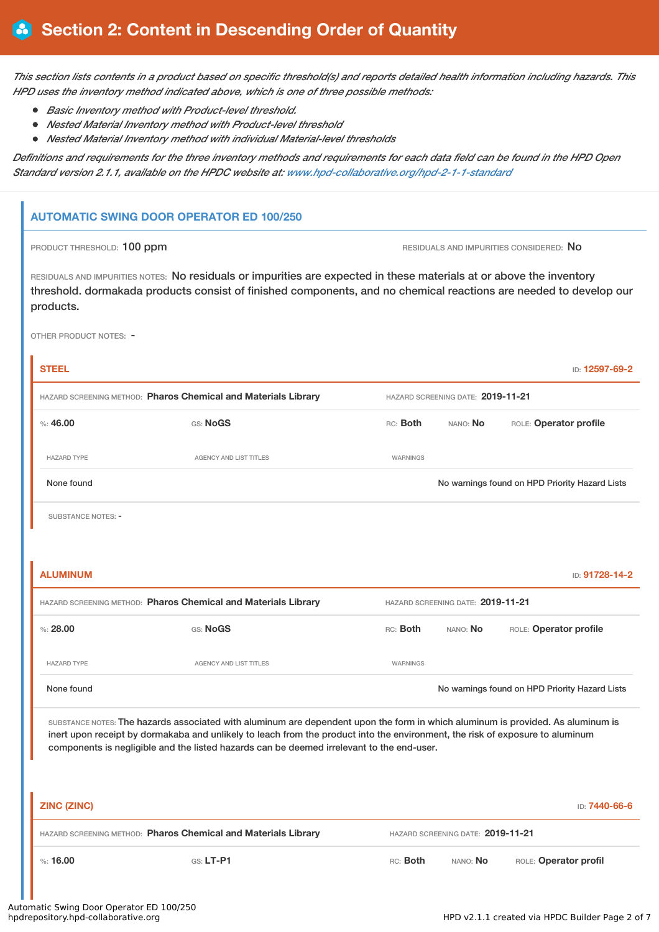This section lists contents in a product based on specific threshold(s) and reports detailed health information including hazards. This *HPD uses the inventory method indicated above, which is one of three possible methods:*

- *Basic Inventory method with Product-level threshold.*
- *Nested Material Inventory method with Product-level threshold*
- *Nested Material Inventory method with individual Material-level thresholds*

Definitions and requirements for the three inventory methods and requirements for each data field can be found in the HPD Open *Standard version 2.1.1, available on the HPDC website at: [www.hpd-collaborative.org/hpd-2-1-1-standard](https://www.hpd-collaborative.org/hpd-2-1-1-standard)*

### **AUTOMATIC SWING DOOR OPERATOR ED 100/250**

PRODUCT THRESHOLD: 100 ppm **RESIDUALS AND IMPURITIES CONSIDERED:** No

RESIDUALS AND IMPURITIES NOTES: No residuals or impurities are expected in these materials at or above the inventory threshold. dormakada products consist of finished components, and no chemical reactions are needed to develop our products.

OTHER PRODUCT NOTES: -

| <b>STEEL</b>                                                                                                                                                                                                                                                                                                                                                  |                                                                |                                   |                                                | ID: 12597-69-2         |  |  |
|---------------------------------------------------------------------------------------------------------------------------------------------------------------------------------------------------------------------------------------------------------------------------------------------------------------------------------------------------------------|----------------------------------------------------------------|-----------------------------------|------------------------------------------------|------------------------|--|--|
| HAZARD SCREENING METHOD: Pharos Chemical and Materials Library                                                                                                                                                                                                                                                                                                |                                                                |                                   | HAZARD SCREENING DATE: 2019-11-21              |                        |  |  |
| %:46.00                                                                                                                                                                                                                                                                                                                                                       | GS: NoGS                                                       | RC: Both                          | ROLE: Operator profile<br>NANO: No             |                        |  |  |
| <b>HAZARD TYPE</b>                                                                                                                                                                                                                                                                                                                                            | AGENCY AND LIST TITLES                                         | <b>WARNINGS</b>                   |                                                |                        |  |  |
| None found                                                                                                                                                                                                                                                                                                                                                    |                                                                |                                   | No warnings found on HPD Priority Hazard Lists |                        |  |  |
| <b>SUBSTANCE NOTES: -</b>                                                                                                                                                                                                                                                                                                                                     |                                                                |                                   |                                                |                        |  |  |
|                                                                                                                                                                                                                                                                                                                                                               |                                                                |                                   |                                                |                        |  |  |
| <b>ALUMINUM</b>                                                                                                                                                                                                                                                                                                                                               |                                                                |                                   |                                                | ID: 91728-14-2         |  |  |
|                                                                                                                                                                                                                                                                                                                                                               | HAZARD SCREENING METHOD: Pharos Chemical and Materials Library | HAZARD SCREENING DATE: 2019-11-21 |                                                |                        |  |  |
| $\%: 28.00$                                                                                                                                                                                                                                                                                                                                                   | GS: NoGS                                                       | RC: Both                          | NANO: No                                       | ROLE: Operator profile |  |  |
| <b>HAZARD TYPE</b>                                                                                                                                                                                                                                                                                                                                            | <b>AGENCY AND LIST TITLES</b>                                  | WARNINGS                          |                                                |                        |  |  |
| None found                                                                                                                                                                                                                                                                                                                                                    |                                                                |                                   | No warnings found on HPD Priority Hazard Lists |                        |  |  |
| SUBSTANCE NOTES: The hazards associated with aluminum are dependent upon the form in which aluminum is provided. As aluminum is<br>inert upon receipt by dormakaba and unlikely to leach from the product into the environment, the risk of exposure to aluminum<br>components is negligible and the listed hazards can be deemed irrelevant to the end-user. |                                                                |                                   |                                                |                        |  |  |
| <b>ZINC (ZINC)</b>                                                                                                                                                                                                                                                                                                                                            |                                                                |                                   |                                                | ID: 7440-66-6          |  |  |
| HAZARD SCREENING METHOD: Pharos Chemical and Materials Library                                                                                                                                                                                                                                                                                                |                                                                |                                   | HAZARD SCREENING DATE: 2019-11-21              |                        |  |  |
| $\%: 16.00$                                                                                                                                                                                                                                                                                                                                                   | $GS: LT-P1$                                                    | RC: Both                          | NANO: No                                       | ROLE: Operator profil  |  |  |
|                                                                                                                                                                                                                                                                                                                                                               |                                                                |                                   |                                                |                        |  |  |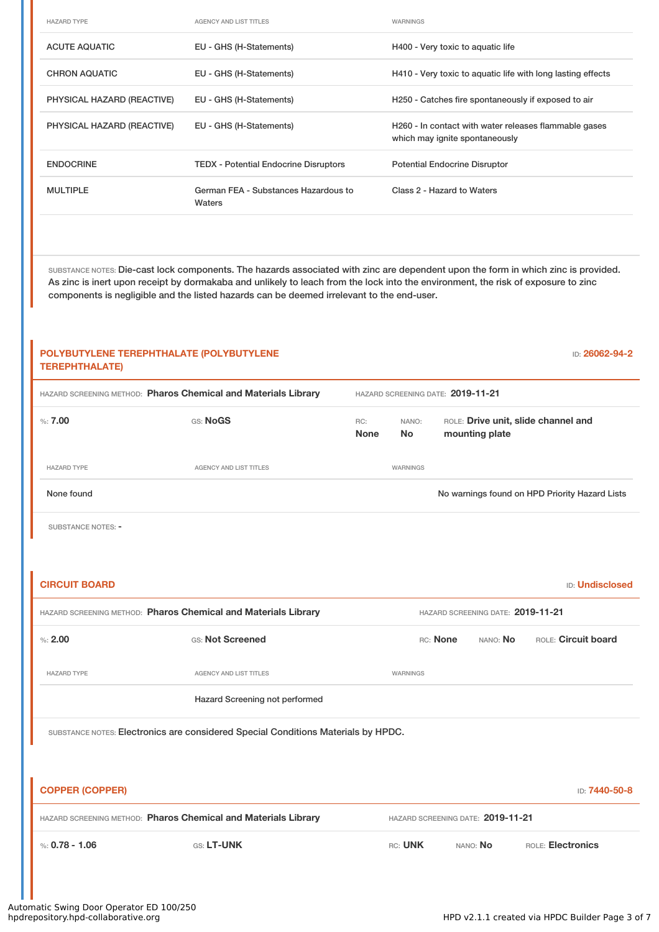| <b>HAZARD TYPE</b>         | <b>AGENCY AND LIST TITLES</b>                  | WARNINGS                                                                                |
|----------------------------|------------------------------------------------|-----------------------------------------------------------------------------------------|
| <b>ACUTE AQUATIC</b>       | EU - GHS (H-Statements)                        | H400 - Very toxic to aquatic life                                                       |
| <b>CHRON AQUATIC</b>       | EU - GHS (H-Statements)                        | H410 - Very toxic to aquatic life with long lasting effects                             |
| PHYSICAL HAZARD (REACTIVE) | EU - GHS (H-Statements)                        | H250 - Catches fire spontaneously if exposed to air                                     |
| PHYSICAL HAZARD (REACTIVE) | EU - GHS (H-Statements)                        | H260 - In contact with water releases flammable gases<br>which may ignite spontaneously |
| <b>ENDOCRINE</b>           | <b>TEDX - Potential Endocrine Disruptors</b>   | <b>Potential Endocrine Disruptor</b>                                                    |
| <b>MULTIPLE</b>            | German FEA - Substances Hazardous to<br>Waters | Class 2 - Hazard to Waters                                                              |
|                            |                                                |                                                                                         |

SUBSTANCE NOTES: Die-cast lock components. The hazards associated with zinc are dependent upon the form in which zinc is provided. As zinc is inert upon receipt by dormakaba and unlikely to leach from the lock into the environment, the risk of exposure to zinc components is negligible and the listed hazards can be deemed irrelevant to the end-user.

#### **POLYBUTYLENE TEREPHTHALATE (POLYBUTYLENE TEREPHTHALATE)**

| HAZARD SCREENING METHOD: Pharos Chemical and Materials Library |                        | HAZARD SCREENING DATE: 2019-11-21 |                    |                                                       |  |
|----------------------------------------------------------------|------------------------|-----------------------------------|--------------------|-------------------------------------------------------|--|
| $\%:7.00$                                                      | <b>GS: NoGS</b>        | RC:<br><b>None</b>                | NANO:<br><b>No</b> | ROLE: Drive unit, slide channel and<br>mounting plate |  |
| <b>HAZARD TYPE</b>                                             | AGENCY AND LIST TITLES |                                   | WARNINGS           |                                                       |  |
| None found                                                     |                        |                                   |                    | No warnings found on HPD Priority Hazard Lists        |  |

SUBSTANCE NOTES: -

| <b>CIRCUIT BOARD</b><br><b>ID:</b> Undisclosed |                                                                |                                                           |  |  |
|------------------------------------------------|----------------------------------------------------------------|-----------------------------------------------------------|--|--|
|                                                | HAZARD SCREENING METHOD: Pharos Chemical and Materials Library | HAZARD SCREENING DATE: 2019-11-21                         |  |  |
| %2.00                                          | GS: Not Screened                                               | RC: None<br><b>ROLE: Circuit board</b><br>nano: <b>No</b> |  |  |
| <b>HAZARD TYPE</b>                             | AGENCY AND LIST TITLES                                         | WARNINGS                                                  |  |  |
|                                                | Hazard Screening not performed                                 |                                                           |  |  |

SUBSTANCE NOTES: Electronics are considered Special Conditions Materials by HPDC.

| <b>COPPER (COPPER)</b><br>ID: 7440-50-8 |                                                                |         |                                   |                   |  |
|-----------------------------------------|----------------------------------------------------------------|---------|-----------------------------------|-------------------|--|
|                                         | HAZARD SCREENING METHOD: Pharos Chemical and Materials Library |         | HAZARD SCREENING DATE: 2019-11-21 |                   |  |
| %: 0.78 - 1.06                          | <b>GS: LT-UNK</b>                                              | RC: UNK | NANO: No                          | ROLE: Electronics |  |

ID: **26062-94-2**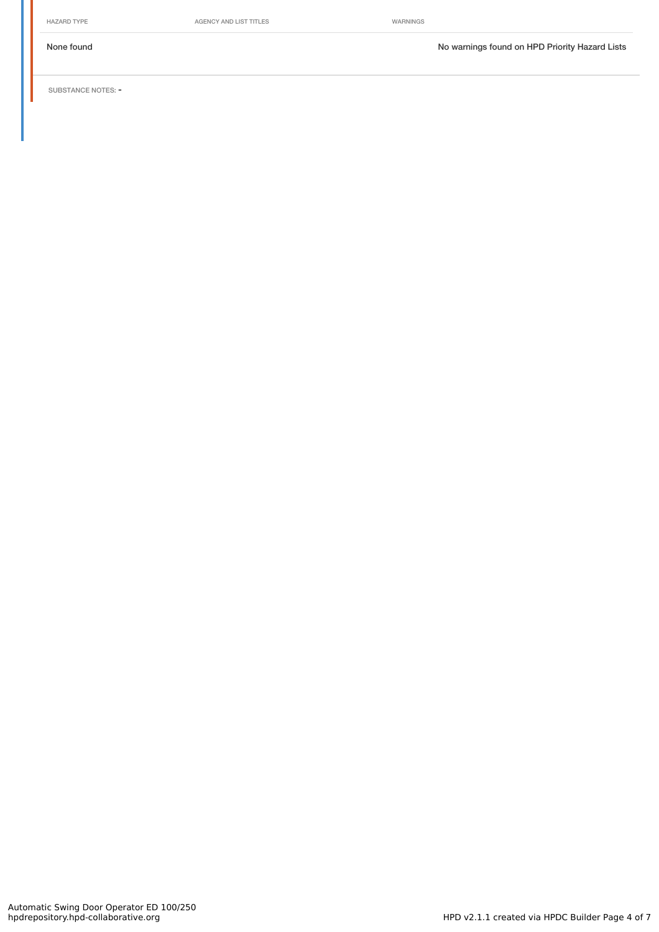HAZARD TYPE **AGENCY AND LIST TITLES** WARNINGS

None found Nowarnings found on HPD Priority Hazard Lists

SUBSTANCE NOTES: -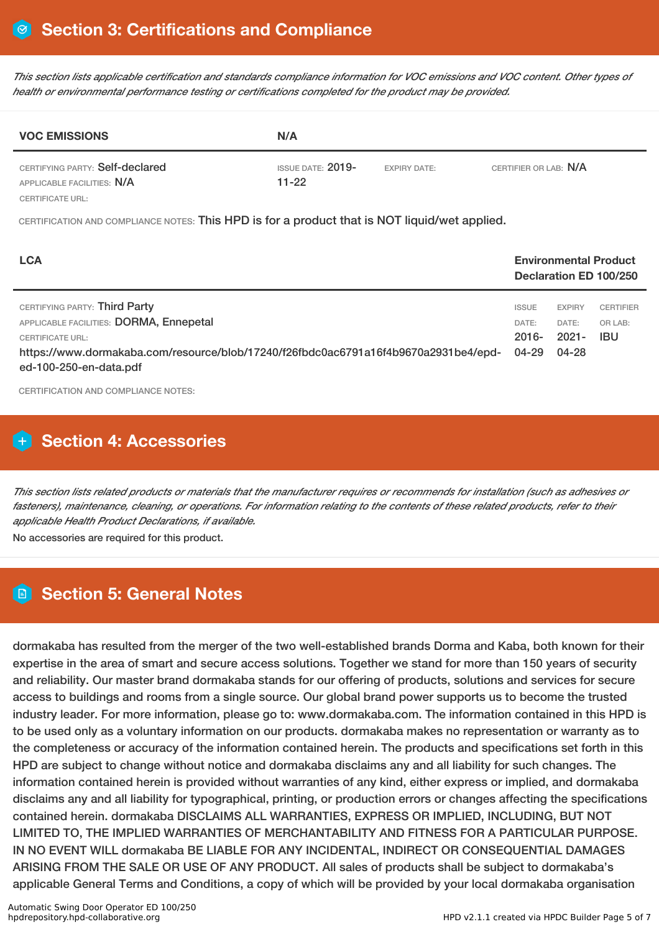This section lists applicable certification and standards compliance information for VOC emissions and VOC content. Other types of *health or environmental performance testing or certifications completed for the product may be provided.*

| <b>VOC EMISSIONS</b>                                          | N/A                              |                     |                       |  |
|---------------------------------------------------------------|----------------------------------|---------------------|-----------------------|--|
| CERTIFYING PARTY: Self-declared<br>APPLICABLE FACILITIES: N/A | ISSUE DATE: $2019-$<br>$11 - 22$ | <b>EXPIRY DATE:</b> | CERTIFIER OR LAB: N/A |  |
| CERTIFICATE URL:                                              |                                  |                     |                       |  |

CERTIFICATION AND COMPLIANCE NOTES: This HPD is for a product that is NOT liquid/wet applied.

| <b>LCA</b>                                                                                                                                                                                                    |                                            |                                             | <b>Environmental Product</b><br>Declaration ED 100/250 |
|---------------------------------------------------------------------------------------------------------------------------------------------------------------------------------------------------------------|--------------------------------------------|---------------------------------------------|--------------------------------------------------------|
| CERTIFYING PARTY: Third Party<br>APPLICABLE FACILITIES: DORMA, Ennepetal<br>CERTIFICATE URL:<br>https://www.dormakaba.com/resource/blob/17240/f26fbdc0ac6791a16f4b9670a2931be4/epd-<br>ed-100-250-en-data.pdf | <b>ISSUE</b><br>DATE:<br>$2016 -$<br>04-29 | <b>EXPIRY</b><br>DATE:<br>$2021 -$<br>04-28 | <b>CERTIFIER</b><br>OR LAB:<br><b>IBU</b>              |

CERTIFICATION AND COMPLIANCE NOTES:

# **H** Section 4: Accessories

This section lists related products or materials that the manufacturer requires or recommends for installation (such as adhesives or fasteners), maintenance, cleaning, or operations. For information relating to the contents of these related products, refer to their *applicable Health Product Declarations, if available.*

No accessories are required for this product.

# **Section 5: General Notes**

dormakaba has resulted from the merger of the two well-established brands Dorma and Kaba, both known for their expertise in the area of smart and secure access solutions. Together we stand for more than 150 years of security and reliability. Our master brand dormakaba stands for our offering of products, solutions and services for secure access to buildings and rooms from a single source. Our global brand power supports us to become the trusted industry leader. For more information, please go to: www.dormakaba.com. The information contained in this HPD is to be used only as a voluntary information on our products. dormakaba makes no representation or warranty as to the completeness or accuracy of the information contained herein. The products and specifications set forth in this HPD are subject to change without notice and dormakaba disclaims any and all liability for such changes. The information contained herein is provided without warranties of any kind, either express or implied, and dormakaba disclaims any and all liability for typographical, printing, or production errors or changes affecting the specifications contained herein. dormakaba DISCLAIMS ALL WARRANTIES, EXPRESS OR IMPLIED, INCLUDING, BUT NOT LIMITED TO, THE IMPLIED WARRANTIES OF MERCHANTABILITY AND FITNESS FOR A PARTICULAR PURPOSE. IN NO EVENT WILL dormakaba BE LIABLE FOR ANY INCIDENTAL, INDIRECT OR CONSEQUENTIAL DAMAGES ARISING FROM THE SALE OR USE OF ANY PRODUCT. All sales of products shall be subject to dormakaba's applicable General Terms and Conditions, a copy of which will be provided by your local dormakaba organisation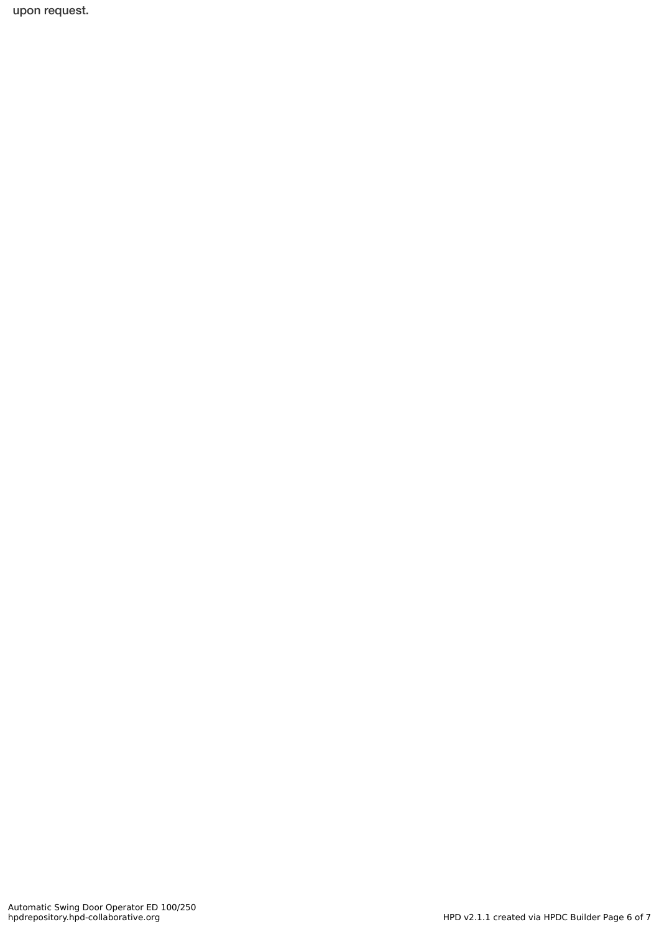upon request.